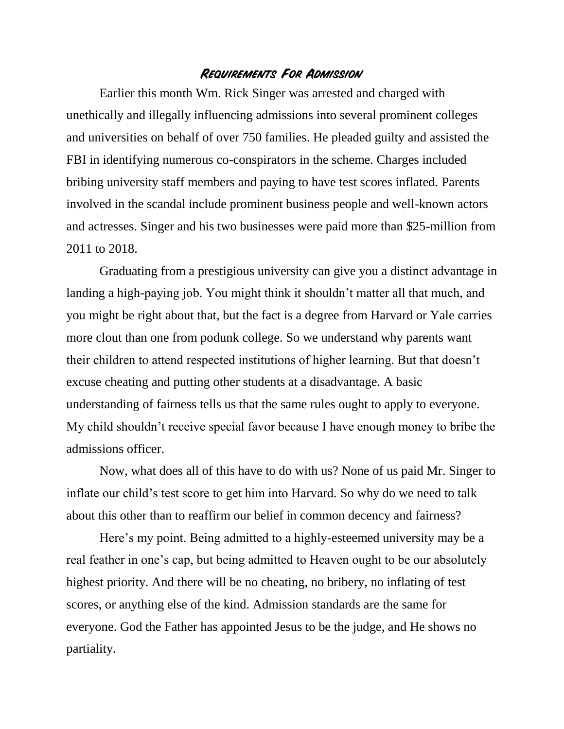## **Requirements For Admission**

Earlier this month Wm. Rick Singer was arrested and charged with unethically and illegally influencing admissions into several prominent colleges and universities on behalf of over 750 families. He pleaded guilty and assisted the FBI in identifying numerous co-conspirators in the scheme. Charges included bribing university staff members and paying to have test scores inflated. Parents involved in the scandal include prominent business people and well-known actors and actresses. Singer and his two businesses were paid more than \$25-million from 2011 to 2018.

Graduating from a prestigious university can give you a distinct advantage in landing a high-paying job. You might think it shouldn't matter all that much, and you might be right about that, but the fact is a degree from Harvard or Yale carries more clout than one from podunk college. So we understand why parents want their children to attend respected institutions of higher learning. But that doesn't excuse cheating and putting other students at a disadvantage. A basic understanding of fairness tells us that the same rules ought to apply to everyone. My child shouldn't receive special favor because I have enough money to bribe the admissions officer.

Now, what does all of this have to do with us? None of us paid Mr. Singer to inflate our child's test score to get him into Harvard. So why do we need to talk about this other than to reaffirm our belief in common decency and fairness?

Here's my point. Being admitted to a highly-esteemed university may be a real feather in one's cap, but being admitted to Heaven ought to be our absolutely highest priority. And there will be no cheating, no bribery, no inflating of test scores, or anything else of the kind. Admission standards are the same for everyone. God the Father has appointed Jesus to be the judge, and He shows no partiality.